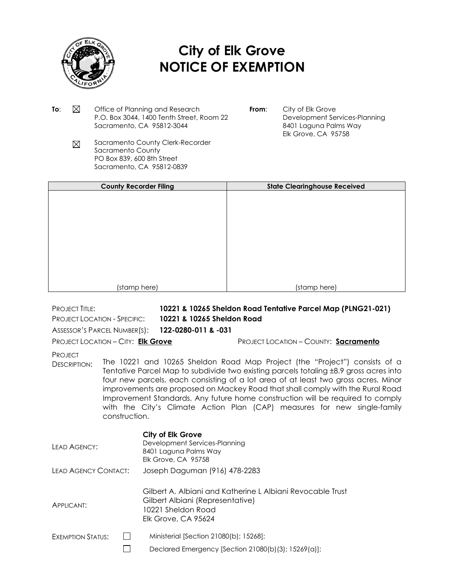

## **City of Elk Grove NOTICE OF EXEMPTION**

- **To:**  $\boxtimes$  Office of Planning and Research P.O. Box 3044, 1400 Tenth Street, Room 22 Sacramento, CA 95812-3044
- **From:** City of Elk Grove Development Services-Planning 8401 Laguna Palms Way Elk Grove, CA 95758
- Sacramento County Clerk-Recorder  $\boxtimes$ Sacramento County PO Box 839, 600 8th Street Sacramento, CA 95812-0839

| <b>County Recorder Filing</b> | <b>State Clearinghouse Received</b> |
|-------------------------------|-------------------------------------|
|                               |                                     |
|                               |                                     |
|                               |                                     |
|                               |                                     |
|                               |                                     |
|                               |                                     |
|                               |                                     |
|                               |                                     |
| (stamp here)                  | (stamp here)                        |

PROJECT TITLE: **10221 & 10265 Sheldon Road Tentative Parcel Map (PLNG21-021)** PROJECT LOCATION - SPECIFIC: **10221 & 10265 Sheldon Road**

ASSESSOR'S PARCEL NUMBER(S): **122-0280-011 & -031**

PROJECT LOCATION – CITY: **Elk Grove** PROJECT LOCATION – COUNTY: **Sacramento**

**PROJECT** 

DESCRIPTION: The 10221 and 10265 Sheldon Road Map Project (the "Project") consists of a Tentative Parcel Map to subdivide two existing parcels totaling ±8.9 gross acres into four new parcels, each consisting of a lot area of at least two gross acres. Minor improvements are proposed on Mackey Road that shall comply with the Rural Road Improvement Standards. Any future home construction will be required to comply with the City's Climate Action Plan (CAP) measures for new single-family construction.

| LEAD AGENCY:             | City of Elk Grove<br>Development Services-Planning<br>8401 Laguna Palms Way<br>Elk Grove, CA 95758                                                 |
|--------------------------|----------------------------------------------------------------------------------------------------------------------------------------------------|
| LEAD AGENCY CONTACT:     | Joseph Daguman (916) 478-2283                                                                                                                      |
| APPLICANT:               | Gilbert A. Albiani and Katherine L Albiani Revocable Trust<br>Gilbert Albiani (Representative)<br>10221 Sheldon Road<br><b>Elk Grove, CA 95624</b> |
| <b>EXEMPTION STATUS:</b> | Ministerial [Section 21080(b); 15268];                                                                                                             |
|                          | Declared Emergency [Section 21080(b)(3); $15269(a)$ ];                                                                                             |